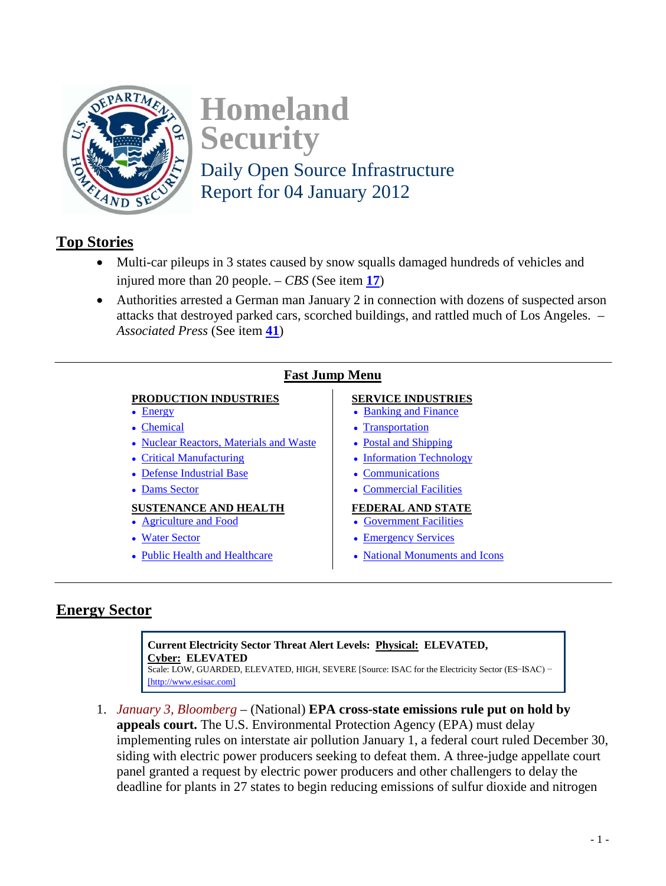<span id="page-0-2"></span>

**Homeland Security**  Daily Open Source Infrastructure

Report for 04 January 2012

## <span id="page-0-1"></span>**Top Stories**

- Multi-car pileups in 3 states caused by snow squalls damaged hundreds of vehicles and injured more than 20 people. – *CBS* (See item **[17](#page-6-1)**)
- Authorities arrested a German man January 2 in connection with dozens of suspected arson attacks that destroyed parked cars, scorched buildings, and rattled much of Los Angeles. – *Associated Press* (See item **[41](#page-15-1)**)

## **Fast Jump Menu**

### **PRODUCTION INDUSTRIES** SERVICE INDUSTRIES

- 
- 
- • [Nuclear Reactors, Materials and Waste](#page-4-0) • [Postal and Shipping](#page-7-0)
- 
- • [Defense Industrial Base](#page-4-2) **• [Communications](#page-14-0)**
- 

# **SUSTENANCE AND HEALTH FEDERAL AND STATE**<br>• Agriculture and Food **FEDERAL AND STATE**

- 
- 
- 

- [Energy](#page-0-0) **[Banking and Finance](#page-5-0)**
- • [Chemical](#page-2-0) • [Transportation](#page-6-0)
	-
- • [Critical Manufacturing](#page-4-1) **Critical Manufacturing Critical Manufacturing** 
	-
- • [Dams Sector](#page-16-0) **• [Commercial Facilities](#page-15-0)**

- [Government Facilities](#page-11-0)
- • [Water Sector](#page-9-0) **• [Emergency Services](#page-11-1)**
- • [Public Health and Healthcare](#page-10-0) **• [National Monuments and Icons](#page-16-1)**

## <span id="page-0-0"></span>**Energy Sector**

**Current Electricity Sector Threat Alert Levels: Physical: ELEVATED, Cyber: ELEVATED** Scale: LOW, GUARDED, ELEVATED, HIGH, SEVERE [Source: ISAC for the Electricity Sector (ES−ISAC) − [\[http://www.esisac.com\]](http://www.esisac.com/)

1. *January 3, Bloomberg* – (National) **EPA cross-state emissions rule put on hold by appeals court.** The U.S. Environmental Protection Agency (EPA) must delay implementing rules on interstate air pollution January 1, a federal court ruled December 30, siding with electric power producers seeking to defeat them. A three-judge appellate court panel granted a request by electric power producers and other challengers to delay the deadline for plants in 27 states to begin reducing emissions of sulfur dioxide and nitrogen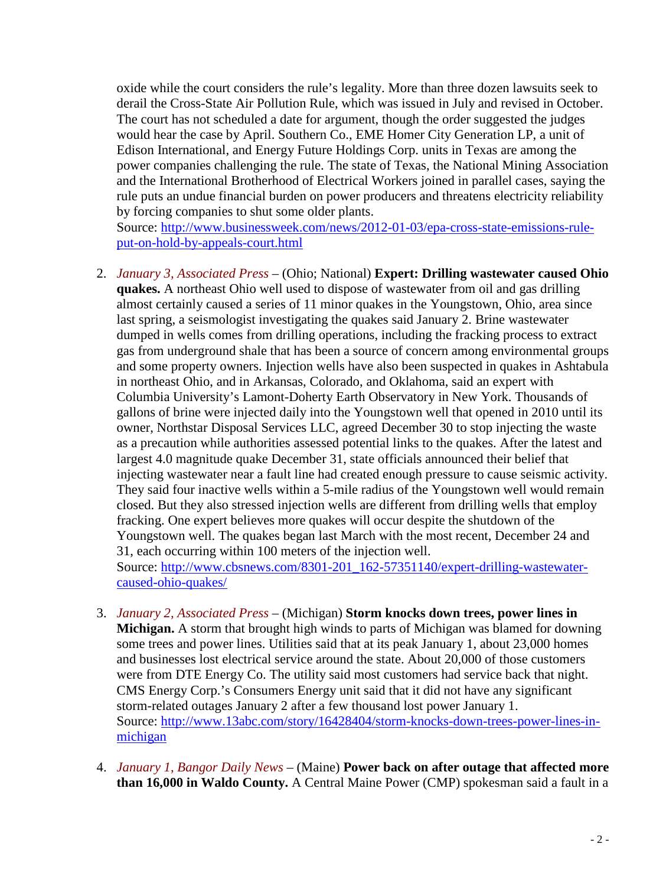oxide while the court considers the rule's legality. More than three dozen lawsuits seek to derail the Cross-State Air Pollution Rule, which was issued in July and revised in October. The court has not scheduled a date for argument, though the order suggested the judges would hear the case by April. Southern Co., EME Homer City Generation LP, a unit of Edison International, and Energy Future Holdings Corp. units in Texas are among the power companies challenging the rule. The state of Texas, the National Mining Association and the International Brotherhood of Electrical Workers joined in parallel cases, saying the rule puts an undue financial burden on power producers and threatens electricity reliability by forcing companies to shut some older plants.

Source: [http://www.businessweek.com/news/2012-01-03/epa-cross-state-emissions-rule](http://www.businessweek.com/news/2012-01-03/epa-cross-state-emissions-rule-put-on-hold-by-appeals-court.html)[put-on-hold-by-appeals-court.html](http://www.businessweek.com/news/2012-01-03/epa-cross-state-emissions-rule-put-on-hold-by-appeals-court.html)

2. *January 3, Associated Press* – (Ohio; National) **Expert: Drilling wastewater caused Ohio quakes.** A northeast Ohio well used to dispose of wastewater from oil and gas drilling almost certainly caused a series of 11 minor quakes in the Youngstown, Ohio, area since last spring, a seismologist investigating the quakes said January 2. Brine wastewater dumped in wells comes from drilling operations, including the fracking process to extract gas from underground shale that has been a source of concern among environmental groups and some property owners. Injection wells have also been suspected in quakes in Ashtabula in northeast Ohio, and in Arkansas, Colorado, and Oklahoma, said an expert with Columbia University's Lamont-Doherty Earth Observatory in New York. Thousands of gallons of brine were injected daily into the Youngstown well that opened in 2010 until its owner, Northstar Disposal Services LLC, agreed December 30 to stop injecting the waste as a precaution while authorities assessed potential links to the quakes. After the latest and largest 4.0 magnitude quake December 31, state officials announced their belief that injecting wastewater near a fault line had created enough pressure to cause seismic activity. They said four inactive wells within a 5-mile radius of the Youngstown well would remain closed. But they also stressed injection wells are different from drilling wells that employ fracking. One expert believes more quakes will occur despite the shutdown of the Youngstown well. The quakes began last March with the most recent, December 24 and 31, each occurring within 100 meters of the injection well.

Source: [http://www.cbsnews.com/8301-201\\_162-57351140/expert-drilling-wastewater](http://www.cbsnews.com/8301-201_162-57351140/expert-drilling-wastewater-caused-ohio-quakes/)[caused-ohio-quakes/](http://www.cbsnews.com/8301-201_162-57351140/expert-drilling-wastewater-caused-ohio-quakes/)

- 3. *January 2, Associated Press* (Michigan) **Storm knocks down trees, power lines in Michigan.** A storm that brought high winds to parts of Michigan was blamed for downing some trees and power lines. Utilities said that at its peak January 1, about 23,000 homes and businesses lost electrical service around the state. About 20,000 of those customers were from DTE Energy Co. The utility said most customers had service back that night. CMS Energy Corp.'s Consumers Energy unit said that it did not have any significant storm-related outages January 2 after a few thousand lost power January 1. Source: [http://www.13abc.com/story/16428404/storm-knocks-down-trees-power-lines-in](http://www.13abc.com/story/16428404/storm-knocks-down-trees-power-lines-in-michigan)[michigan](http://www.13abc.com/story/16428404/storm-knocks-down-trees-power-lines-in-michigan)
- 4. *January 1, Bangor Daily News* (Maine) **Power back on after outage that affected more than 16,000 in Waldo County.** A Central Maine Power (CMP) spokesman said a fault in a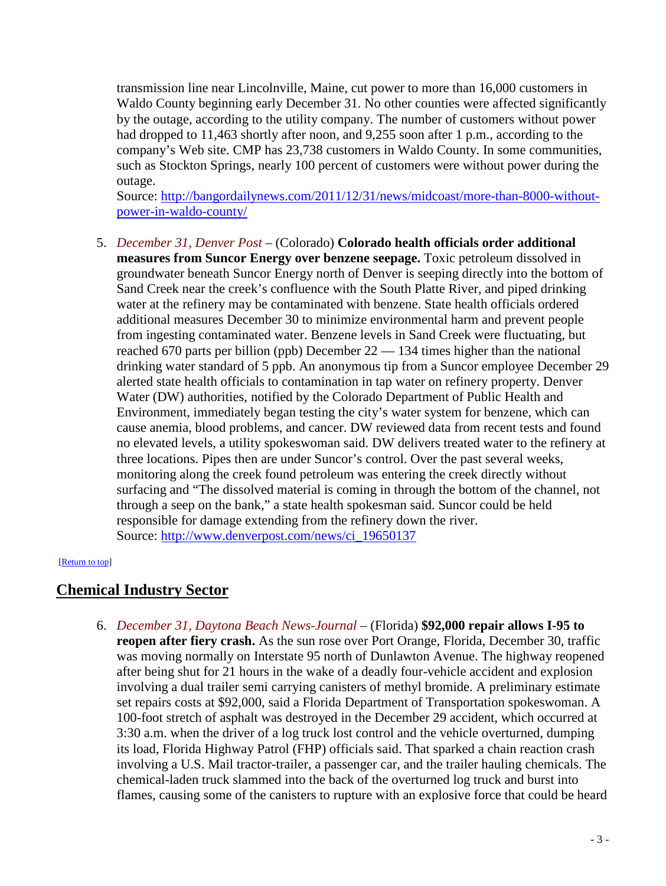<span id="page-2-1"></span>transmission line near Lincolnville, Maine, cut power to more than 16,000 customers in Waldo County beginning early December 31. No other counties were affected significantly by the outage, according to the utility company. The number of customers without power had dropped to 11,463 shortly after noon, and 9,255 soon after 1 p.m., according to the company's Web site. CMP has 23,738 customers in Waldo County. In some communities, such as Stockton Springs, nearly 100 percent of customers were without power during the outage.

Source: [http://bangordailynews.com/2011/12/31/news/midcoast/more-than-8000-without](http://bangordailynews.com/2011/12/31/news/midcoast/more-than-8000-without-power-in-waldo-county/)[power-in-waldo-county/](http://bangordailynews.com/2011/12/31/news/midcoast/more-than-8000-without-power-in-waldo-county/)

5. *December 31, Denver Post* – (Colorado) **Colorado health officials order additional measures from Suncor Energy over benzene seepage.** Toxic petroleum dissolved in groundwater beneath Suncor Energy north of Denver is seeping directly into the bottom of Sand Creek near the creek's confluence with the South Platte River, and piped drinking water at the refinery may be contaminated with benzene. State health officials ordered additional measures December 30 to minimize environmental harm and prevent people from ingesting contaminated water. Benzene levels in Sand Creek were fluctuating, but reached 670 parts per billion (ppb) December 22 — 134 times higher than the national drinking water standard of 5 ppb. An anonymous tip from a Suncor employee December 29 alerted state health officials to contamination in tap water on refinery property. Denver Water (DW) authorities, notified by the Colorado Department of Public Health and Environment, immediately began testing the city's water system for benzene, which can cause anemia, blood problems, and cancer. DW reviewed data from recent tests and found no elevated levels, a utility spokeswoman said. DW delivers treated water to the refinery at three locations. Pipes then are under Suncor's control. Over the past several weeks, monitoring along the creek found petroleum was entering the creek directly without surfacing and "The dissolved material is coming in through the bottom of the channel, not through a seep on the bank," a state health spokesman said. Suncor could be held responsible for damage extending from the refinery down the river. Source: [http://www.denverpost.com/news/ci\\_19650137](http://www.denverpost.com/news/ci_19650137)

#### <span id="page-2-0"></span>[\[Return to top\]](#page-0-1)

## **Chemical Industry Sector**

6. *December 31, Daytona Beach News-Journal* – (Florida) **\$92,000 repair allows I-95 to reopen after fiery crash.** As the sun rose over Port Orange, Florida, December 30, traffic was moving normally on Interstate 95 north of Dunlawton Avenue. The highway reopened after being shut for 21 hours in the wake of a deadly four-vehicle accident and explosion involving a dual trailer semi carrying canisters of methyl bromide. A preliminary estimate set repairs costs at \$92,000, said a Florida Department of Transportation spokeswoman. A 100-foot stretch of asphalt was destroyed in the December 29 accident, which occurred at 3:30 a.m. when the driver of a log truck lost control and the vehicle overturned, dumping its load, Florida Highway Patrol (FHP) officials said. That sparked a chain reaction crash involving a U.S. Mail tractor-trailer, a passenger car, and the trailer hauling chemicals. The chemical-laden truck slammed into the back of the overturned log truck and burst into flames, causing some of the canisters to rupture with an explosive force that could be heard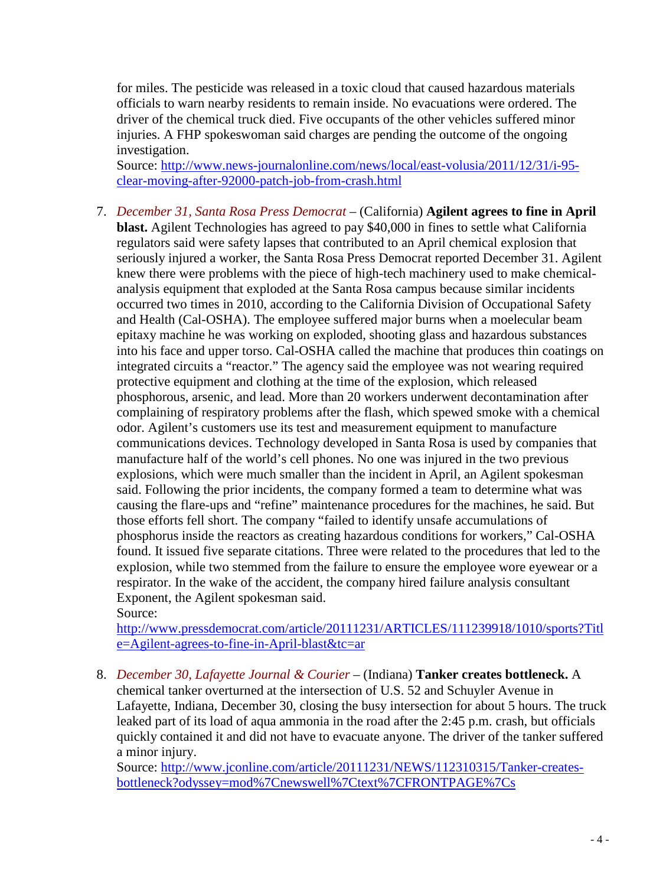<span id="page-3-0"></span>for miles. The pesticide was released in a toxic cloud that caused hazardous materials officials to warn nearby residents to remain inside. No evacuations were ordered. The driver of the chemical truck died. Five occupants of the other vehicles suffered minor injuries. A FHP spokeswoman said charges are pending the outcome of the ongoing investigation.

Source: [http://www.news-journalonline.com/news/local/east-volusia/2011/12/31/i-95](http://www.news-journalonline.com/news/local/east-volusia/2011/12/31/i-95-clear-moving-after-92000-patch-job-from-crash.html) [clear-moving-after-92000-patch-job-from-crash.html](http://www.news-journalonline.com/news/local/east-volusia/2011/12/31/i-95-clear-moving-after-92000-patch-job-from-crash.html)

7. *December 31, Santa Rosa Press Democrat* – (California) **Agilent agrees to fine in April blast.** Agilent Technologies has agreed to pay \$40,000 in fines to settle what California regulators said were safety lapses that contributed to an April chemical explosion that seriously injured a worker, the Santa Rosa Press Democrat reported December 31. Agilent knew there were problems with the piece of high-tech machinery used to make chemicalanalysis equipment that exploded at the Santa Rosa campus because similar incidents occurred two times in 2010, according to the California Division of Occupational Safety and Health (Cal-OSHA). The employee suffered major burns when a moelecular beam epitaxy machine he was working on exploded, shooting glass and hazardous substances into his face and upper torso. Cal-OSHA called the machine that produces thin coatings on integrated circuits a "reactor." The agency said the employee was not wearing required protective equipment and clothing at the time of the explosion, which released phosphorous, arsenic, and lead. More than 20 workers underwent decontamination after complaining of respiratory problems after the flash, which spewed smoke with a chemical odor. Agilent's customers use its test and measurement equipment to manufacture communications devices. Technology developed in Santa Rosa is used by companies that manufacture half of the world's cell phones. No one was injured in the two previous explosions, which were much smaller than the incident in April, an Agilent spokesman said. Following the prior incidents, the company formed a team to determine what was causing the flare-ups and "refine" maintenance procedures for the machines, he said. But those efforts fell short. The company "failed to identify unsafe accumulations of phosphorus inside the reactors as creating hazardous conditions for workers," Cal-OSHA found. It issued five separate citations. Three were related to the procedures that led to the explosion, while two stemmed from the failure to ensure the employee wore eyewear or a respirator. In the wake of the accident, the company hired failure analysis consultant Exponent, the Agilent spokesman said.

Source:

[http://www.pressdemocrat.com/article/20111231/ARTICLES/111239918/1010/sports?Titl](http://www.pressdemocrat.com/article/20111231/ARTICLES/111239918/1010/sports?Title=Agilent-agrees-to-fine-in-April-blast&tc=ar) [e=Agilent-agrees-to-fine-in-April-blast&tc=ar](http://www.pressdemocrat.com/article/20111231/ARTICLES/111239918/1010/sports?Title=Agilent-agrees-to-fine-in-April-blast&tc=ar)

8. *December 30, Lafayette Journal & Courier* – (Indiana) **Tanker creates bottleneck.** A chemical tanker overturned at the intersection of U.S. 52 and Schuyler Avenue in Lafayette, Indiana, December 30, closing the busy intersection for about 5 hours. The truck leaked part of its load of aqua ammonia in the road after the 2:45 p.m. crash, but officials quickly contained it and did not have to evacuate anyone. The driver of the tanker suffered a minor injury.

Source: [http://www.jconline.com/article/20111231/NEWS/112310315/Tanker-creates](http://www.jconline.com/article/20111231/NEWS/112310315/Tanker-creates-bottleneck?odyssey=mod%7Cnewswell%7Ctext%7CFRONTPAGE%7Cs)[bottleneck?odyssey=mod%7Cnewswell%7Ctext%7CFRONTPAGE%7Cs](http://www.jconline.com/article/20111231/NEWS/112310315/Tanker-creates-bottleneck?odyssey=mod%7Cnewswell%7Ctext%7CFRONTPAGE%7Cs)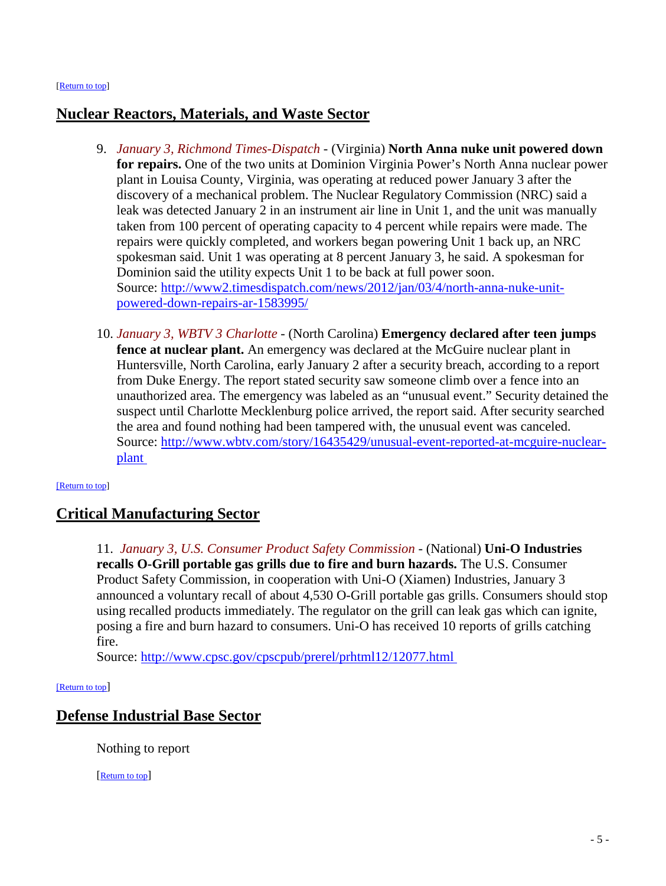## <span id="page-4-0"></span>**Nuclear Reactors, Materials, and Waste Sector**

- 9. *January 3, Richmond Times-Dispatch* (Virginia) **North Anna nuke unit powered down for repairs.** One of the two units at Dominion Virginia Power's North Anna nuclear power plant in Louisa County, Virginia, was operating at reduced power January 3 after the discovery of a mechanical problem. The Nuclear Regulatory Commission (NRC) said a leak was detected January 2 in an instrument air line in Unit 1, and the unit was manually taken from 100 percent of operating capacity to 4 percent while repairs were made. The repairs were quickly completed, and workers began powering Unit 1 back up, an NRC spokesman said. Unit 1 was operating at 8 percent January 3, he said. A spokesman for Dominion said the utility expects Unit 1 to be back at full power soon. Source: [http://www2.timesdispatch.com/news/2012/jan/03/4/north-anna-nuke-unit](http://www2.timesdispatch.com/news/2012/jan/03/4/north-anna-nuke-unit-powered-down-repairs-ar-1583995/)[powered-down-repairs-ar-1583995/](http://www2.timesdispatch.com/news/2012/jan/03/4/north-anna-nuke-unit-powered-down-repairs-ar-1583995/)
- 10. *January 3, WBTV 3 Charlotte*  (North Carolina) **Emergency declared after teen jumps fence at nuclear plant.** An emergency was declared at the McGuire nuclear plant in Huntersville, North Carolina, early January 2 after a security breach, according to a report from Duke Energy. The report stated security saw someone climb over a fence into an unauthorized area. The emergency was labeled as an "unusual event." Security detained the suspect until Charlotte Mecklenburg police arrived, the report said. After security searched the area and found nothing had been tampered with, the unusual event was canceled. Source: [http://www.wbtv.com/story/16435429/unusual-event-reported-at-mcguire-nuclear](http://www.wbtv.com/story/16435429/unusual-event-reported-at-mcguire-nuclear-plant)[plant](http://www.wbtv.com/story/16435429/unusual-event-reported-at-mcguire-nuclear-plant)

#### <span id="page-4-1"></span>[\[Return to top\]](#page-0-1)

## **Critical Manufacturing Sector**

11. *January 3, U.S. Consumer Product Safety Commission* - (National) **Uni-O Industries recalls O-Grill portable gas grills due to fire and burn hazards.** The U.S. Consumer Product Safety Commission, in cooperation with Uni-O (Xiamen) Industries, January 3 announced a voluntary recall of about 4,530 O-Grill portable gas grills. Consumers should stop using recalled products immediately. The regulator on the grill can leak gas which can ignite, posing a fire and burn hazard to consumers. Uni-O has received 10 reports of grills catching fire.

Source:<http://www.cpsc.gov/cpscpub/prerel/prhtml12/12077.html>

#### <span id="page-4-2"></span>[\[Return to top\]](#page-0-1)

## **Defense Industrial Base Sector**

Nothing to report

[\[Return to top\]](#page-0-2)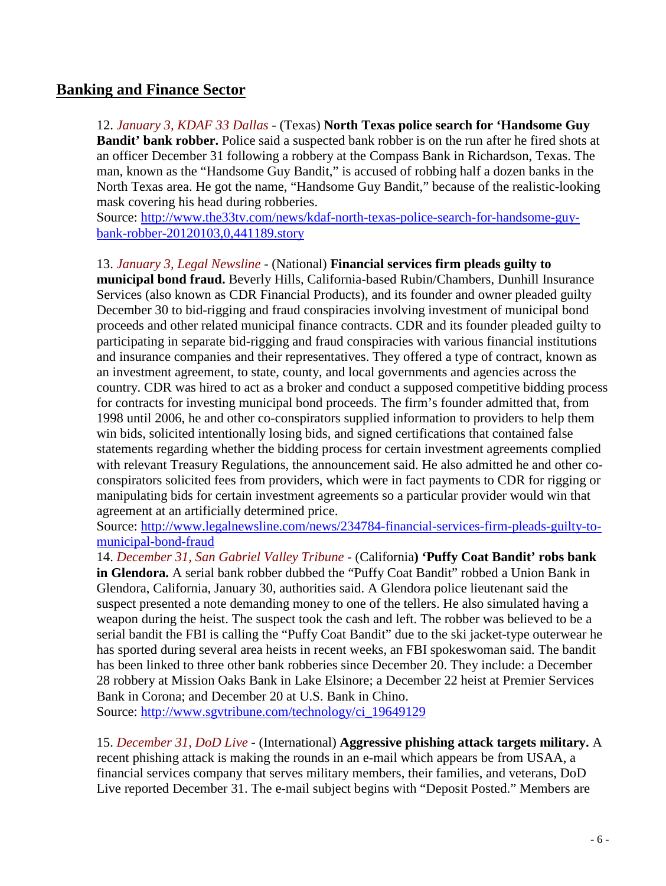## <span id="page-5-0"></span>**Banking and Finance Sector**

12. *January 3, KDAF 33 Dallas* - (Texas) **North Texas police search for 'Handsome Guy Bandit' bank robber.** Police said a suspected bank robber is on the run after he fired shots at an officer December 31 following a robbery at the Compass Bank in Richardson, Texas. The man, known as the "Handsome Guy Bandit," is accused of robbing half a dozen banks in the North Texas area. He got the name, "Handsome Guy Bandit," because of the realistic-looking mask covering his head during robberies.

Source: [http://www.the33tv.com/news/kdaf-north-texas-police-search-for-handsome-guy](http://www.the33tv.com/news/kdaf-north-texas-police-search-for-handsome-guy-bank-robber-20120103,0,441189.story)[bank-robber-20120103,0,441189.story](http://www.the33tv.com/news/kdaf-north-texas-police-search-for-handsome-guy-bank-robber-20120103,0,441189.story)

#### 13. *January 3, Legal Newsline* - (National) **Financial services firm pleads guilty to**

**municipal bond fraud.** Beverly Hills, California-based Rubin/Chambers, Dunhill Insurance Services (also known as CDR Financial Products), and its founder and owner pleaded guilty December 30 to bid-rigging and fraud conspiracies involving investment of municipal bond proceeds and other related municipal finance contracts. CDR and its founder pleaded guilty to participating in separate bid-rigging and fraud conspiracies with various financial institutions and insurance companies and their representatives. They offered a type of contract, known as an investment agreement, to state, county, and local governments and agencies across the country. CDR was hired to act as a broker and conduct a supposed competitive bidding process for contracts for investing municipal bond proceeds. The firm's founder admitted that, from 1998 until 2006, he and other co-conspirators supplied information to providers to help them win bids, solicited intentionally losing bids, and signed certifications that contained false statements regarding whether the bidding process for certain investment agreements complied with relevant Treasury Regulations, the announcement said. He also admitted he and other coconspirators solicited fees from providers, which were in fact payments to CDR for rigging or manipulating bids for certain investment agreements so a particular provider would win that agreement at an artificially determined price.

Source: [http://www.legalnewsline.com/news/234784-financial-services-firm-pleads-guilty-to](http://www.legalnewsline.com/news/234784-financial-services-firm-pleads-guilty-to-municipal-bond-fraud)[municipal-bond-fraud](http://www.legalnewsline.com/news/234784-financial-services-firm-pleads-guilty-to-municipal-bond-fraud)

14. *December 31, San Gabriel Valley Tribune* - (California**) 'Puffy Coat Bandit' robs bank in Glendora.** A serial bank robber dubbed the "Puffy Coat Bandit" robbed a Union Bank in Glendora, California, January 30, authorities said. A Glendora police lieutenant said the suspect presented a note demanding money to one of the tellers. He also simulated having a weapon during the heist. The suspect took the cash and left. The robber was believed to be a serial bandit the FBI is calling the "Puffy Coat Bandit" due to the ski jacket-type outerwear he has sported during several area heists in recent weeks, an FBI spokeswoman said. The bandit has been linked to three other bank robberies since December 20. They include: a December 28 robbery at Mission Oaks Bank in Lake Elsinore; a December 22 heist at Premier Services Bank in Corona; and December 20 at U.S. Bank in Chino.

Source: [http://www.sgvtribune.com/technology/ci\\_19649129](http://www.sgvtribune.com/technology/ci_19649129) 

15. *December 31, DoD Live* - (International) **Aggressive phishing attack targets military.** A recent phishing attack is making the rounds in an e-mail which appears be from USAA, a financial services company that serves military members, their families, and veterans, DoD Live reported December 31. The e-mail subject begins with "Deposit Posted." Members are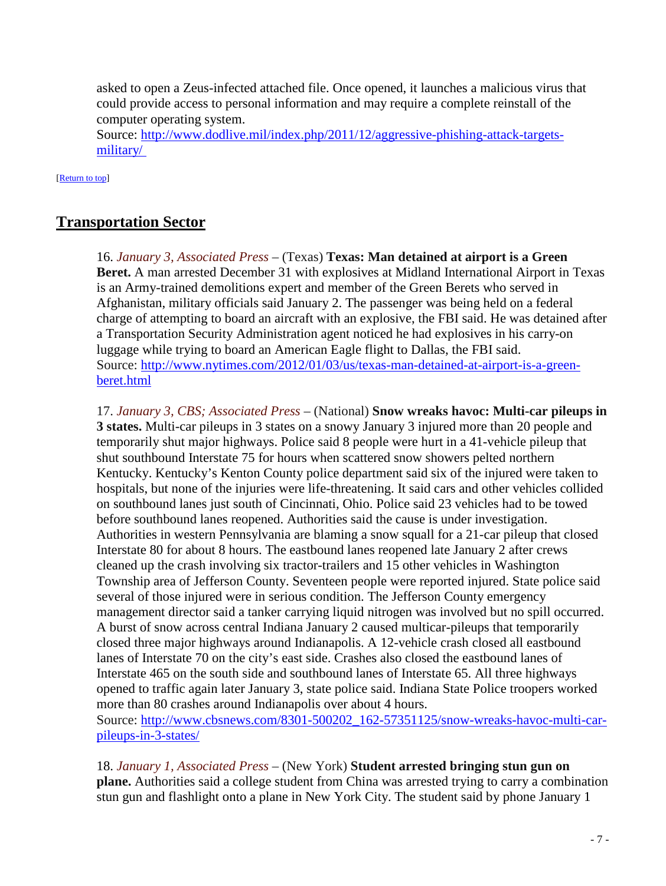<span id="page-6-1"></span>asked to open a Zeus-infected attached file. Once opened, it launches a malicious virus that could provide access to personal information and may require a complete reinstall of the computer operating system.

Source: [http://www.dodlive.mil/index.php/2011/12/aggressive-phishing-attack-targets](http://www.dodlive.mil/index.php/2011/12/aggressive-phishing-attack-targets-military/)[military/](http://www.dodlive.mil/index.php/2011/12/aggressive-phishing-attack-targets-military/) 

[\[Return to top\]](#page-0-1) 

## <span id="page-6-0"></span>**Transportation Sector**

16. *January 3, Associated Press* – (Texas) **Texas: Man detained at airport is a Green Beret.** A man arrested December 31 with explosives at Midland International Airport in Texas is an Army-trained demolitions expert and member of the Green Berets who served in Afghanistan, military officials said January 2. The passenger was being held on a federal charge of attempting to board an aircraft with an explosive, the FBI said. He was detained after a Transportation Security Administration agent noticed he had explosives in his carry-on luggage while trying to board an American Eagle flight to Dallas, the FBI said. Source: [http://www.nytimes.com/2012/01/03/us/texas-man-detained-at-airport-is-a-green](http://www.nytimes.com/2012/01/03/us/texas-man-detained-at-airport-is-a-green-beret.html)[beret.html](http://www.nytimes.com/2012/01/03/us/texas-man-detained-at-airport-is-a-green-beret.html)

17. *January 3, CBS; Associated Press* – (National) **Snow wreaks havoc: Multi-car pileups in 3 states.** Multi-car pileups in 3 states on a snowy January 3 injured more than 20 people and temporarily shut major highways. Police said 8 people were hurt in a 41-vehicle pileup that shut southbound Interstate 75 for hours when scattered snow showers pelted northern Kentucky. Kentucky's Kenton County police department said six of the injured were taken to hospitals, but none of the injuries were life-threatening. It said cars and other vehicles collided on southbound lanes just south of Cincinnati, Ohio. Police said 23 vehicles had to be towed before southbound lanes reopened. Authorities said the cause is under investigation. Authorities in western Pennsylvania are blaming a snow squall for a 21-car pileup that closed Interstate 80 for about 8 hours. The eastbound lanes reopened late January 2 after crews cleaned up the crash involving six tractor-trailers and 15 other vehicles in Washington Township area of Jefferson County. Seventeen people were reported injured. State police said several of those injured were in serious condition. The Jefferson County emergency management director said a tanker carrying liquid nitrogen was involved but no spill occurred. A burst of snow across central Indiana January 2 caused multicar-pileups that temporarily closed three major highways around Indianapolis. A 12-vehicle crash closed all eastbound lanes of Interstate 70 on the city's east side. Crashes also closed the eastbound lanes of Interstate 465 on the south side and southbound lanes of Interstate 65. All three highways opened to traffic again later January 3, state police said. Indiana State Police troopers worked more than 80 crashes around Indianapolis over about 4 hours. Source: [http://www.cbsnews.com/8301-500202\\_162-57351125/snow-wreaks-havoc-multi-car](http://www.cbsnews.com/8301-500202_162-57351125/snow-wreaks-havoc-multi-car-pileups-in-3-states/)[pileups-in-3-states/](http://www.cbsnews.com/8301-500202_162-57351125/snow-wreaks-havoc-multi-car-pileups-in-3-states/)

18. *January 1, Associated Press* – (New York) **Student arrested bringing stun gun on plane.** Authorities said a college student from China was arrested trying to carry a combination stun gun and flashlight onto a plane in New York City. The student said by phone January 1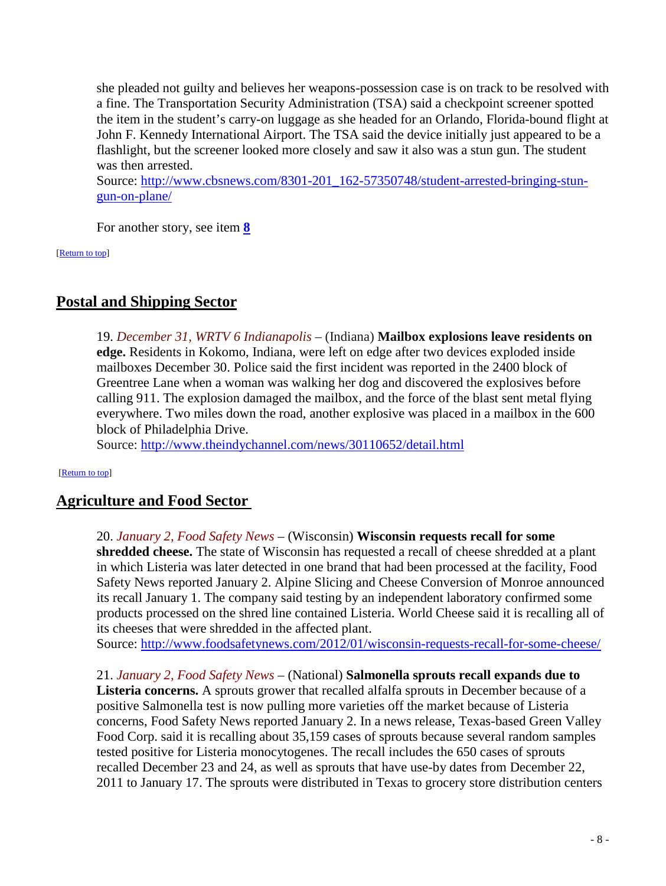she pleaded not guilty and believes her weapons-possession case is on track to be resolved with a fine. The Transportation Security Administration (TSA) said a checkpoint screener spotted the item in the student's carry-on luggage as she headed for an Orlando, Florida-bound flight at John F. Kennedy International Airport. The TSA said the device initially just appeared to be a flashlight, but the screener looked more closely and saw it also was a stun gun. The student was then arrested.

Source: [http://www.cbsnews.com/8301-201\\_162-57350748/student-arrested-bringing-stun](http://www.cbsnews.com/8301-201_162-57350748/student-arrested-bringing-stun-gun-on-plane/)[gun-on-plane/](http://www.cbsnews.com/8301-201_162-57350748/student-arrested-bringing-stun-gun-on-plane/) 

For another story, see item **[8](#page-3-0)**

[\[Return to top\]](#page-0-1) 

## <span id="page-7-0"></span>**Postal and Shipping Sector**

19. *December 31, WRTV 6 Indianapolis* – (Indiana) **Mailbox explosions leave residents on edge.** Residents in Kokomo, Indiana, were left on edge after two devices exploded inside mailboxes December 30. Police said the first incident was reported in the 2400 block of Greentree Lane when a woman was walking her dog and discovered the explosives before calling 911. The explosion damaged the mailbox, and the force of the blast sent metal flying everywhere. Two miles down the road, another explosive was placed in a mailbox in the 600 block of Philadelphia Drive.

Source:<http://www.theindychannel.com/news/30110652/detail.html>

#### <span id="page-7-1"></span>[\[Return to top\]](#page-0-1)

## **Agriculture and Food Sector**

20. *January 2, Food Safety News* – (Wisconsin) **Wisconsin requests recall for some shredded cheese.** The state of Wisconsin has requested a recall of cheese shredded at a plant in which Listeria was later detected in one brand that had been processed at the facility, Food Safety News reported January 2. Alpine Slicing and Cheese Conversion of Monroe announced its recall January 1. The company said testing by an independent laboratory confirmed some products processed on the shred line contained Listeria. World Cheese said it is recalling all of its cheeses that were shredded in the affected plant.

Source:<http://www.foodsafetynews.com/2012/01/wisconsin-requests-recall-for-some-cheese/>

21. *January 2, Food Safety News* – (National) **Salmonella sprouts recall expands due to Listeria concerns.** A sprouts grower that recalled alfalfa sprouts in December because of a positive Salmonella test is now pulling more varieties off the market because of Listeria concerns, Food Safety News reported January 2. In a news release, Texas-based Green Valley Food Corp. said it is recalling about 35,159 cases of sprouts because several random samples tested positive for Listeria monocytogenes. The recall includes the 650 cases of sprouts recalled December 23 and 24, as well as sprouts that have use-by dates from December 22, 2011 to January 17. The sprouts were distributed in Texas to grocery store distribution centers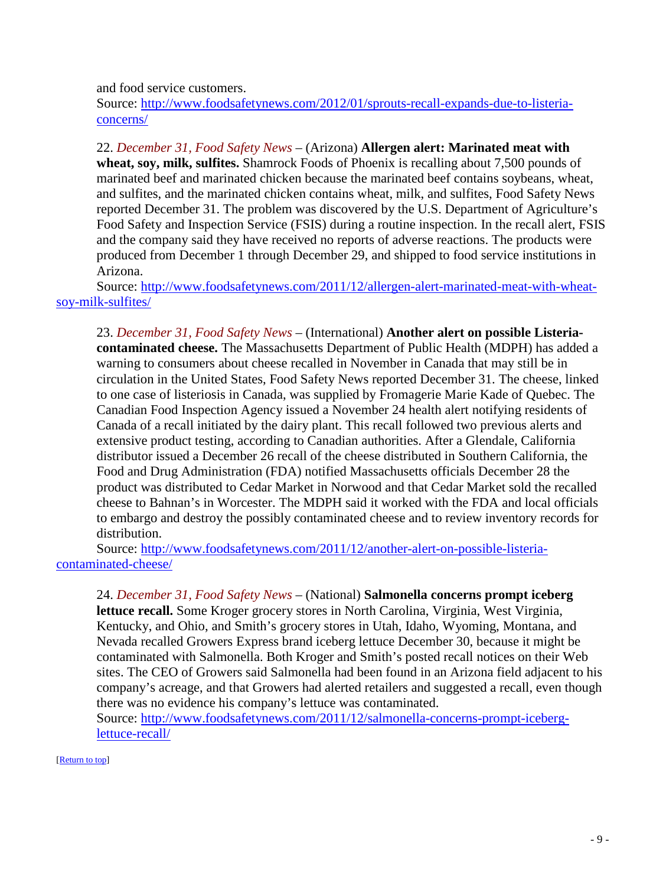and food service customers.

Source: [http://www.foodsafetynews.com/2012/01/sprouts-recall-expands-due-to-listeria](http://www.foodsafetynews.com/2012/01/sprouts-recall-expands-due-to-listeria-concerns/)[concerns/](http://www.foodsafetynews.com/2012/01/sprouts-recall-expands-due-to-listeria-concerns/)

22. *December 31, Food Safety News* – (Arizona) **Allergen alert: Marinated meat with wheat, soy, milk, sulfites.** Shamrock Foods of Phoenix is recalling about 7,500 pounds of marinated beef and marinated chicken because the marinated beef contains soybeans, wheat, and sulfites, and the marinated chicken contains wheat, milk, and sulfites, Food Safety News reported December 31. The problem was discovered by the U.S. Department of Agriculture's Food Safety and Inspection Service (FSIS) during a routine inspection. In the recall alert, FSIS and the company said they have received no reports of adverse reactions. The products were produced from December 1 through December 29, and shipped to food service institutions in Arizona.

Source: [http://www.foodsafetynews.com/2011/12/allergen-alert-marinated-meat-with-wheat](http://www.foodsafetynews.com/2011/12/allergen-alert-marinated-meat-with-wheat-soy-milk-sulfites/)[soy-milk-sulfites/](http://www.foodsafetynews.com/2011/12/allergen-alert-marinated-meat-with-wheat-soy-milk-sulfites/)

23. *December 31, Food Safety News* – (International) **Another alert on possible Listeriacontaminated cheese.** The Massachusetts Department of Public Health (MDPH) has added a warning to consumers about cheese recalled in November in Canada that may still be in circulation in the United States, Food Safety News reported December 31. The cheese, linked to one case of listeriosis in Canada, was supplied by Fromagerie Marie Kade of Quebec. The Canadian Food Inspection Agency issued a November 24 health alert notifying residents of Canada of a recall initiated by the dairy plant. This recall followed two previous alerts and extensive product testing, according to Canadian authorities. After a Glendale, California distributor issued a December 26 recall of the cheese distributed in Southern California, the Food and Drug Administration (FDA) notified Massachusetts officials December 28 the product was distributed to Cedar Market in Norwood and that Cedar Market sold the recalled cheese to Bahnan's in Worcester. The MDPH said it worked with the FDA and local officials to embargo and destroy the possibly contaminated cheese and to review inventory records for distribution.

Source: [http://www.foodsafetynews.com/2011/12/another-alert-on-possible-listeria](http://www.foodsafetynews.com/2011/12/another-alert-on-possible-listeria-contaminated-cheese/)[contaminated-cheese/](http://www.foodsafetynews.com/2011/12/another-alert-on-possible-listeria-contaminated-cheese/)

24. *December 31, Food Safety News* – (National) **Salmonella concerns prompt iceberg lettuce recall.** Some Kroger grocery stores in North Carolina, Virginia, West Virginia, Kentucky, and Ohio, and Smith's grocery stores in Utah, Idaho, Wyoming, Montana, and Nevada recalled Growers Express brand iceberg lettuce December 30, because it might be contaminated with Salmonella. Both Kroger and Smith's posted recall notices on their Web sites. The CEO of Growers said Salmonella had been found in an Arizona field adjacent to his company's acreage, and that Growers had alerted retailers and suggested a recall, even though there was no evidence his company's lettuce was contaminated.

Source: [http://www.foodsafetynews.com/2011/12/salmonella-concerns-prompt-iceberg](http://www.foodsafetynews.com/2011/12/salmonella-concerns-prompt-iceberg-lettuce-recall/)[lettuce-recall/](http://www.foodsafetynews.com/2011/12/salmonella-concerns-prompt-iceberg-lettuce-recall/)

[\[Return to top\]](#page-0-1)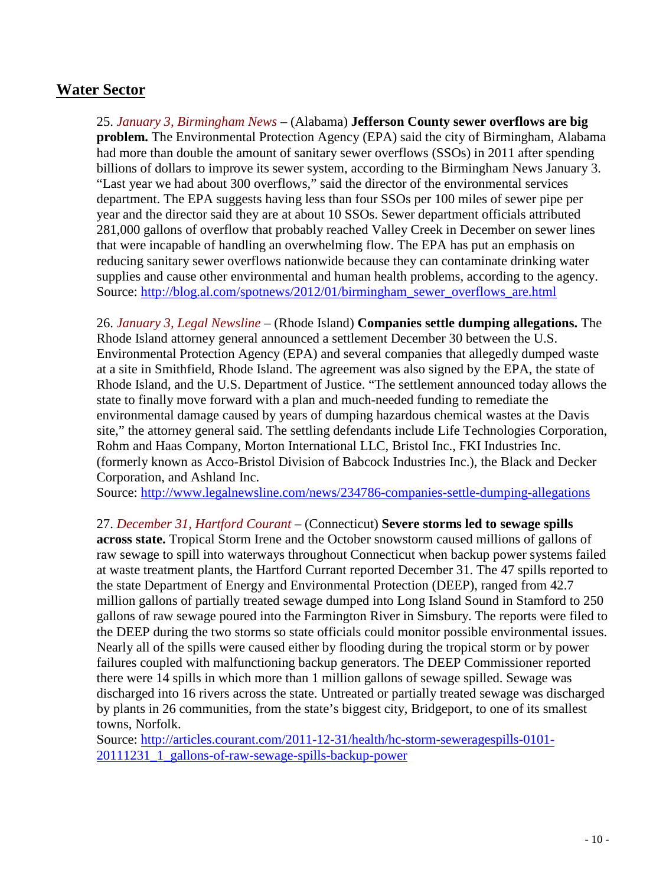## <span id="page-9-0"></span>**Water Sector**

25. *January 3, Birmingham News* – (Alabama) **Jefferson County sewer overflows are big problem.** The Environmental Protection Agency (EPA) said the city of Birmingham, Alabama had more than double the amount of sanitary sewer overflows (SSOs) in 2011 after spending billions of dollars to improve its sewer system, according to the Birmingham News January 3. "Last year we had about 300 overflows," said the director of the environmental services department. The EPA suggests having less than four SSOs per 100 miles of sewer pipe per year and the director said they are at about 10 SSOs. Sewer department officials attributed 281,000 gallons of overflow that probably reached Valley Creek in December on sewer lines that were incapable of handling an overwhelming flow. The EPA has put an emphasis on reducing sanitary sewer overflows nationwide because they can contaminate drinking water supplies and cause other environmental and human health problems, according to the agency. Source: [http://blog.al.com/spotnews/2012/01/birmingham\\_sewer\\_overflows\\_are.html](http://blog.al.com/spotnews/2012/01/birmingham_sewer_overflows_are.html)

26. *January 3, Legal Newsline* – (Rhode Island) **Companies settle dumping allegations.** The Rhode Island attorney general announced a settlement December 30 between the U.S. Environmental Protection Agency (EPA) and several companies that allegedly dumped waste at a site in Smithfield, Rhode Island. The agreement was also signed by the EPA, the state of Rhode Island, and the U.S. Department of Justice. "The settlement announced today allows the state to finally move forward with a plan and much-needed funding to remediate the environmental damage caused by years of dumping hazardous chemical wastes at the Davis site," the attorney general said. The settling defendants include Life Technologies Corporation, Rohm and Haas Company, Morton International LLC, Bristol Inc., FKI Industries Inc. (formerly known as Acco-Bristol Division of Babcock Industries Inc.), the Black and Decker Corporation, and Ashland Inc.

Source:<http://www.legalnewsline.com/news/234786-companies-settle-dumping-allegations>

27. *December 31, Hartford Courant* – (Connecticut) **Severe storms led to sewage spills across state.** Tropical Storm Irene and the October snowstorm caused millions of gallons of raw sewage to spill into waterways throughout Connecticut when backup power systems failed at waste treatment plants, the Hartford Currant reported December 31. The 47 spills reported to the state Department of Energy and Environmental Protection (DEEP), ranged from 42.7 million gallons of partially treated sewage dumped into Long Island Sound in Stamford to 250 gallons of raw sewage poured into the Farmington River in Simsbury. The reports were filed to the DEEP during the two storms so state officials could monitor possible environmental issues. Nearly all of the spills were caused either by flooding during the tropical storm or by power failures coupled with malfunctioning backup generators. The DEEP Commissioner reported there were 14 spills in which more than 1 million gallons of sewage spilled. Sewage was discharged into 16 rivers across the state. Untreated or partially treated sewage was discharged by plants in 26 communities, from the state's biggest city, Bridgeport, to one of its smallest towns, Norfolk.

Source: [http://articles.courant.com/2011-12-31/health/hc-storm-seweragespills-0101-](http://articles.courant.com/2011-12-31/health/hc-storm-seweragespills-0101-20111231_1_gallons-of-raw-sewage-spills-backup-power) [20111231\\_1\\_gallons-of-raw-sewage-spills-backup-power](http://articles.courant.com/2011-12-31/health/hc-storm-seweragespills-0101-20111231_1_gallons-of-raw-sewage-spills-backup-power)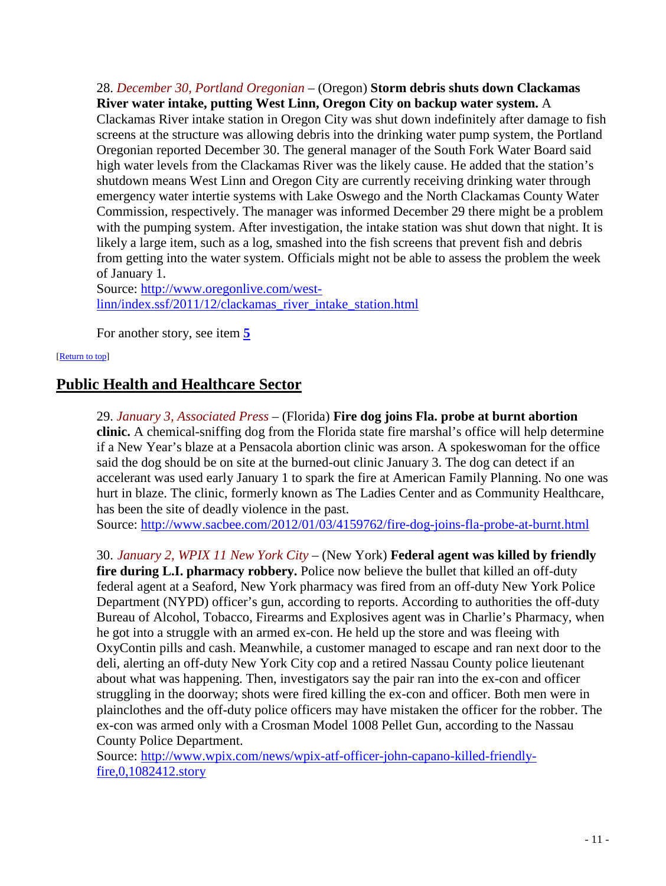28. *December 30, Portland Oregonian* – (Oregon) **Storm debris shuts down Clackamas River water intake, putting West Linn, Oregon City on backup water system.** A Clackamas River intake station in Oregon City was shut down indefinitely after damage to fish screens at the structure was allowing debris into the drinking water pump system, the Portland Oregonian reported December 30. The general manager of the South Fork Water Board said high water levels from the Clackamas River was the likely cause. He added that the station's shutdown means West Linn and Oregon City are currently receiving drinking water through emergency water intertie systems with Lake Oswego and the North Clackamas County Water Commission, respectively. The manager was informed December 29 there might be a problem with the pumping system. After investigation, the intake station was shut down that night. It is likely a large item, such as a log, smashed into the fish screens that prevent fish and debris from getting into the water system. Officials might not be able to assess the problem the week of January 1.

Source: [http://www.oregonlive.com/west](http://www.oregonlive.com/west-linn/index.ssf/2011/12/clackamas_river_intake_station.html)[linn/index.ssf/2011/12/clackamas\\_river\\_intake\\_station.html](http://www.oregonlive.com/west-linn/index.ssf/2011/12/clackamas_river_intake_station.html)

For another story, see item **[5](#page-2-1)**

#### <span id="page-10-0"></span>[\[Return to top\]](#page-0-1)

## **Public Health and Healthcare Sector**

29. *January 3, Associated Press* – (Florida) **Fire dog joins Fla. probe at burnt abortion clinic.** A chemical-sniffing dog from the Florida state fire marshal's office will help determine if a New Year's blaze at a Pensacola abortion clinic was arson. A spokeswoman for the office said the dog should be on site at the burned-out clinic January 3. The dog can detect if an accelerant was used early January 1 to spark the fire at American Family Planning. No one was hurt in blaze. The clinic, formerly known as The Ladies Center and as Community Healthcare, has been the site of deadly violence in the past.

Source:<http://www.sacbee.com/2012/01/03/4159762/fire-dog-joins-fla-probe-at-burnt.html>

30. *January 2, WPIX 11 New York City* – (New York) **Federal agent was killed by friendly** 

**fire during L.I. pharmacy robbery.** Police now believe the bullet that killed an off-duty federal agent at a Seaford, New York pharmacy was fired from an off-duty New York Police Department (NYPD) officer's gun, according to reports. According to authorities the off-duty Bureau of Alcohol, Tobacco, Firearms and Explosives agent was in Charlie's Pharmacy, when he got into a struggle with an armed ex-con. He held up the store and was fleeing with OxyContin pills and cash. Meanwhile, a customer managed to escape and ran next door to the deli, alerting an off-duty New York City cop and a retired Nassau County police lieutenant about what was happening. Then, investigators say the pair ran into the ex-con and officer struggling in the doorway; shots were fired killing the ex-con and officer. Both men were in plainclothes and the off-duty police officers may have mistaken the officer for the robber. The ex-con was armed only with a Crosman Model 1008 Pellet Gun, according to the Nassau County Police Department.

Source: [http://www.wpix.com/news/wpix-atf-officer-john-capano-killed-friendly](http://www.wpix.com/news/wpix-atf-officer-john-capano-killed-friendly-fire,0,1082412.story)[fire,0,1082412.story](http://www.wpix.com/news/wpix-atf-officer-john-capano-killed-friendly-fire,0,1082412.story)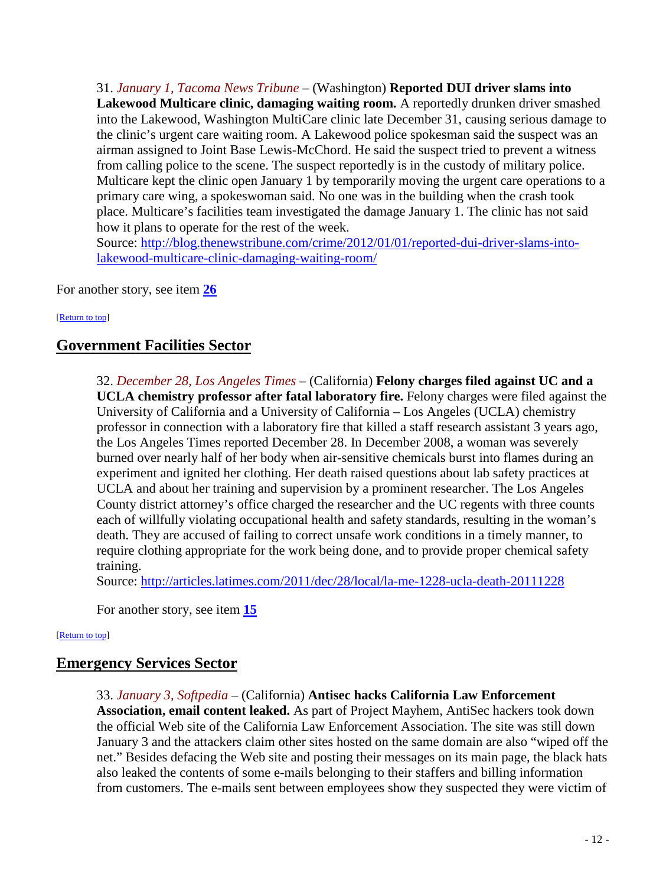31. *January 1, Tacoma News Tribune* – (Washington) **Reported DUI driver slams into**  Lakewood Multicare clinic, damaging waiting room. A reportedly drunken driver smashed into the Lakewood, Washington MultiCare clinic late December 31, causing serious damage to the clinic's urgent care waiting room. A Lakewood police spokesman said the suspect was an airman assigned to Joint Base Lewis-McChord. He said the suspect tried to prevent a witness from calling police to the scene. The suspect reportedly is in the custody of military police. Multicare kept the clinic open January 1 by temporarily moving the urgent care operations to a primary care wing, a spokeswoman said. No one was in the building when the crash took place. Multicare's facilities team investigated the damage January 1. The clinic has not said how it plans to operate for the rest of the week.

Source: [http://blog.thenewstribune.com/crime/2012/01/01/reported-dui-driver-slams-into](http://blog.thenewstribune.com/crime/2012/01/01/reported-dui-driver-slams-into-lakewood-multicare-clinic-damaging-waiting-room/)[lakewood-multicare-clinic-damaging-waiting-room/](http://blog.thenewstribune.com/crime/2012/01/01/reported-dui-driver-slams-into-lakewood-multicare-clinic-damaging-waiting-room/)

For another story, see item **26**

#### <span id="page-11-0"></span>[\[Return to top\]](#page-0-1)

## **Government Facilities Sector**

32. *December 28, Los Angeles Times* – (California) **Felony charges filed against UC and a UCLA chemistry professor after fatal laboratory fire.** Felony charges were filed against the University of California and a University of California – Los Angeles (UCLA) chemistry professor in connection with a laboratory fire that killed a staff research assistant 3 years ago, the Los Angeles Times reported December 28. In December 2008, a woman was severely burned over nearly half of her body when air-sensitive chemicals burst into flames during an experiment and ignited her clothing. Her death raised questions about lab safety practices at UCLA and about her training and supervision by a prominent researcher. The Los Angeles County district attorney's office charged the researcher and the UC regents with three counts each of willfully violating occupational health and safety standards, resulting in the woman's death. They are accused of failing to correct unsafe work conditions in a timely manner, to require clothing appropriate for the work being done, and to provide proper chemical safety training.

Source:<http://articles.latimes.com/2011/dec/28/local/la-me-1228-ucla-death-20111228>

For another story, see item **15**

#### <span id="page-11-1"></span>[\[Return to top\]](#page-0-1)

## **Emergency Services Sector**

33. *January 3, Softpedia* – (California) **Antisec hacks California Law Enforcement Association, email content leaked.** As part of Project Mayhem, AntiSec hackers took down the official Web site of the California Law Enforcement Association. The site was still down January 3 and the attackers claim other sites hosted on the same domain are also "wiped off the net." Besides defacing the Web site and posting their messages on its main page, the black hats also leaked the contents of some e-mails belonging to their staffers and billing information from customers. The e-mails sent between employees show they suspected they were victim of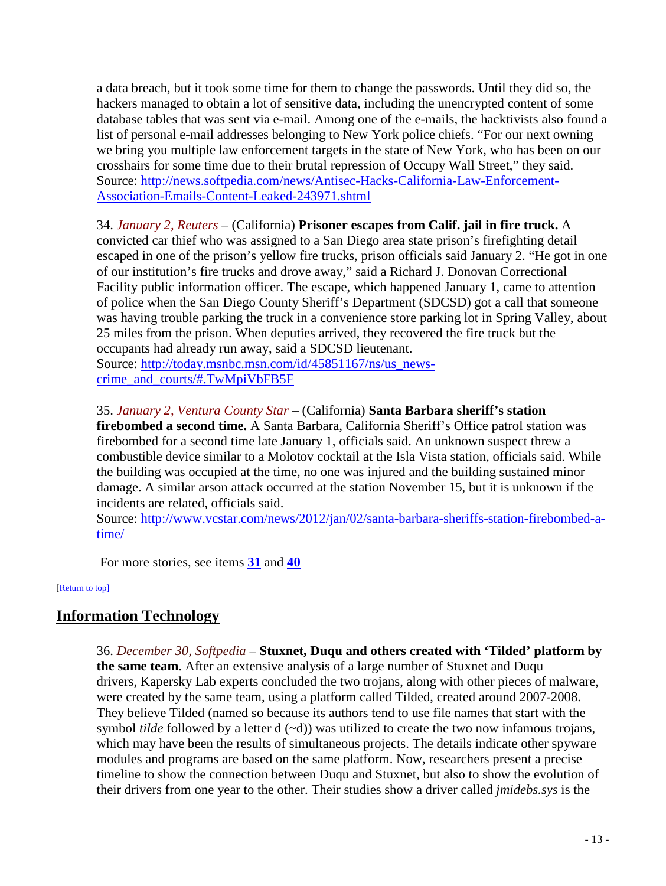a data breach, but it took some time for them to change the passwords. Until they did so, the hackers managed to obtain a lot of sensitive data, including the unencrypted content of some database tables that was sent via e-mail. Among one of the e-mails, the hacktivists also found a list of personal e-mail addresses belonging to New York police chiefs. "For our next owning we bring you multiple law enforcement targets in the state of New York, who has been on our crosshairs for some time due to their brutal repression of Occupy Wall Street," they said. Source: [http://news.softpedia.com/news/Antisec-Hacks-California-Law-Enforcement-](http://news.softpedia.com/news/Antisec-Hacks-California-Law-Enforcement-Association-Emails-Content-Leaked-243971.shtml)[Association-Emails-Content-Leaked-243971.shtml](http://news.softpedia.com/news/Antisec-Hacks-California-Law-Enforcement-Association-Emails-Content-Leaked-243971.shtml)

34. *January 2, Reuters* – (California) **Prisoner escapes from Calif. jail in fire truck.** A convicted car thief who was assigned to a San Diego area state prison's firefighting detail escaped in one of the prison's yellow fire trucks, prison officials said January 2. "He got in one of our institution's fire trucks and drove away," said a Richard J. Donovan Correctional Facility public information officer. The escape, which happened January 1, came to attention of police when the San Diego County Sheriff's Department (SDCSD) got a call that someone was having trouble parking the truck in a convenience store parking lot in Spring Valley, about 25 miles from the prison. When deputies arrived, they recovered the fire truck but the occupants had already run away, said a SDCSD lieutenant. Source: [http://today.msnbc.msn.com/id/45851167/ns/us\\_news-](http://today.msnbc.msn.com/id/45851167/ns/us_news-crime_and_courts/#.TwMpiVbFB5F)

[crime\\_and\\_courts/#.TwMpiVbFB5F](http://today.msnbc.msn.com/id/45851167/ns/us_news-crime_and_courts/#.TwMpiVbFB5F)

### 35. *January 2, Ventura County Star* – (California) **Santa Barbara sheriff's station**

**firebombed a second time.** A Santa Barbara, California Sheriff's Office patrol station was firebombed for a second time late January 1, officials said. An unknown suspect threw a combustible device similar to a Molotov cocktail at the Isla Vista station, officials said. While the building was occupied at the time, no one was injured and the building sustained minor damage. A similar arson attack occurred at the station November 15, but it is unknown if the incidents are related, officials said.

Source: [http://www.vcstar.com/news/2012/jan/02/santa-barbara-sheriffs-station-firebombed-a](http://www.vcstar.com/news/2012/jan/02/santa-barbara-sheriffs-station-firebombed-a-time/)[time/](http://www.vcstar.com/news/2012/jan/02/santa-barbara-sheriffs-station-firebombed-a-time/)

For more stories, see items **31** and **40**

<span id="page-12-0"></span>[\[Return to top\]](#page-0-1)

## **Information Technology**

36. *December 30, Softpedia* – **Stuxnet, Duqu and others created with 'Tilded' platform by the same team**. After an extensive analysis of a large number of Stuxnet and Duqu drivers, Kapersky Lab experts concluded the two trojans, along with other pieces of malware, were created by the same team, using a platform called Tilded, created around 2007-2008. They believe Tilded (named so because its authors tend to use file names that start with the symbol *tilde* followed by a letter  $d (\sim d)$ ) was utilized to create the two now infamous trojans, which may have been the results of simultaneous projects. The details indicate other spyware modules and programs are based on the same platform. Now, researchers present a precise timeline to show the connection between Duqu and Stuxnet, but also to show the evolution of their drivers from one year to the other. Their studies show a driver called *jmidebs.sys* is the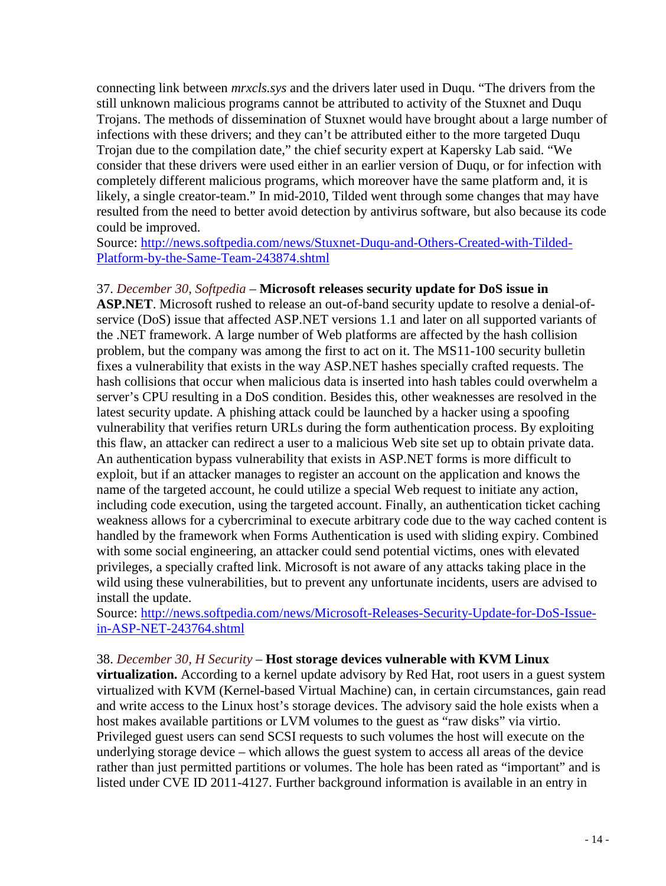connecting link between *mrxcls.sys* and the drivers later used in Duqu. "The drivers from the still unknown malicious programs cannot be attributed to activity of the Stuxnet and Duqu Trojans. The methods of dissemination of Stuxnet would have brought about a large number of infections with these drivers; and they can't be attributed either to the more targeted Duqu Trojan due to the compilation date," the chief security expert at Kapersky Lab said. "We consider that these drivers were used either in an earlier version of Duqu, or for infection with completely different malicious programs, which moreover have the same platform and, it is likely, a single creator-team." In mid-2010, Tilded went through some changes that may have resulted from the need to better avoid detection by antivirus software, but also because its code could be improved.

Source: [http://news.softpedia.com/news/Stuxnet-Duqu-and-Others-Created-with-Tilded-](http://news.softpedia.com/news/Stuxnet-Duqu-and-Others-Created-with-Tilded-Platform-by-the-Same-Team-243874.shtml)[Platform-by-the-Same-Team-243874.shtml](http://news.softpedia.com/news/Stuxnet-Duqu-and-Others-Created-with-Tilded-Platform-by-the-Same-Team-243874.shtml)

### 37. *December 30, Softpedia* – **Microsoft releases security update for DoS issue in**

**ASP.NET**. Microsoft rushed to release an out-of-band security update to resolve a denial-ofservice (DoS) issue that affected ASP.NET versions 1.1 and later on all supported variants of the .NET framework. A large number of Web platforms are affected by the hash collision problem, but the company was among the first to act on it. The MS11-100 security bulletin fixes a vulnerability that exists in the way ASP.NET hashes specially crafted requests. The hash collisions that occur when malicious data is inserted into hash tables could overwhelm a server's CPU resulting in a DoS condition. Besides this, other weaknesses are resolved in the latest security update. A phishing attack could be launched by a hacker using a spoofing vulnerability that verifies return URLs during the form authentication process. By exploiting this flaw, an attacker can redirect a user to a malicious Web site set up to obtain private data. An authentication bypass vulnerability that exists in ASP.NET forms is more difficult to exploit, but if an attacker manages to register an account on the application and knows the name of the targeted account, he could utilize a special Web request to initiate any action, including code execution, using the targeted account. Finally, an authentication ticket caching weakness allows for a cybercriminal to execute arbitrary code due to the way cached content is handled by the framework when Forms Authentication is used with sliding expiry. Combined with some social engineering, an attacker could send potential victims, ones with elevated privileges, a specially crafted link. Microsoft is not aware of any attacks taking place in the wild using these vulnerabilities, but to prevent any unfortunate incidents, users are advised to install the update.

Source: [http://news.softpedia.com/news/Microsoft-Releases-Security-Update-for-DoS-Issue](http://news.softpedia.com/news/Microsoft-Releases-Security-Update-for-DoS-Issue-in-ASP-NET-243764.shtml)[in-ASP-NET-243764.shtml](http://news.softpedia.com/news/Microsoft-Releases-Security-Update-for-DoS-Issue-in-ASP-NET-243764.shtml)

#### 38. *December 30, H Security* – **Host storage devices vulnerable with KVM Linux**

**virtualization.** According to a kernel update advisory by Red Hat, root users in a guest system virtualized with KVM (Kernel-based Virtual Machine) can, in certain circumstances, gain read and write access to the Linux host's storage devices. The advisory said the hole exists when a host makes available partitions or LVM volumes to the guest as "raw disks" via virtio. Privileged guest users can send SCSI requests to such volumes the host will execute on the underlying storage device – which allows the guest system to access all areas of the device rather than just permitted partitions or volumes. The hole has been rated as "important" and is listed under CVE ID 2011-4127. Further background information is available in an entry in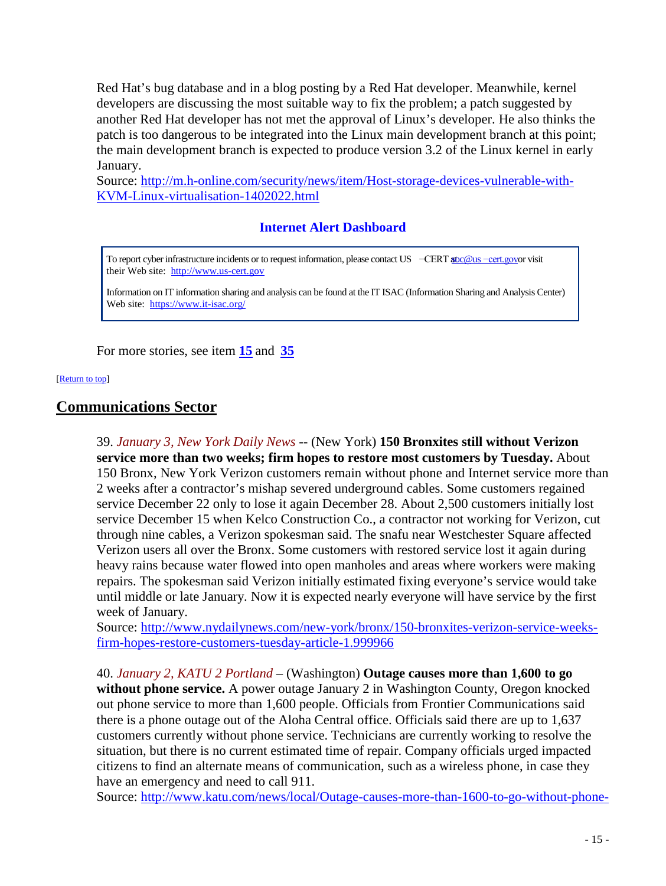Red Hat's bug database and in a blog posting by a Red Hat developer. Meanwhile, kernel developers are discussing the most suitable way to fix the problem; a patch suggested by another Red Hat developer has not met the approval of Linux's developer. He also thinks the patch is too dangerous to be integrated into the Linux main development branch at this point; the main development branch is expected to produce version 3.2 of the Linux kernel in early January.

Source: [http://m.h-online.com/security/news/item/Host-storage-devices-vulnerable-with-](http://m.h-online.com/security/news/item/Host-storage-devices-vulnerable-with-KVM-Linux-virtualisation-1402022.html)[KVM-Linux-virtualisation-1402022.html](http://m.h-online.com/security/news/item/Host-storage-devices-vulnerable-with-KVM-Linux-virtualisation-1402022.html)

## **Internet Alert Dashboard**

To report cyber infrastructure incidents or to request information, please contact US −CERT abc@us [−cert.gov](mailto:soc@us%E2%88%92cert.gov)or visit their Web site: [http://www.us-cert.gov](http://www.us-cert.gov/)

Information on IT information sharing and analysis can be found at the IT ISAC (Information Sharing and Analysis Center) Web site: <https://www.it-isac.org/>

For more stories, see item **15** and **35**

<span id="page-14-0"></span>[\[Return to top\]](#page-0-1) 

## **Communications Sector**

39. *January 3, New York Daily News* -- (New York) **150 Bronxites still without Verizon service more than two weeks; firm hopes to restore most customers by Tuesday.** About 150 Bronx, New York Verizon customers remain without phone and Internet service more than 2 weeks after a contractor's mishap severed underground cables. Some customers regained service December 22 only to lose it again December 28. About 2,500 customers initially lost service December 15 when Kelco Construction Co., a contractor not working for Verizon, cut through nine cables, a Verizon spokesman said. The snafu near Westchester Square affected Verizon users all over the Bronx. Some customers with restored service lost it again during heavy rains because water flowed into open manholes and areas where workers were making repairs. The spokesman said Verizon initially estimated fixing everyone's service would take until middle or late January. Now it is expected nearly everyone will have service by the first week of January.

Source: [http://www.nydailynews.com/new-york/bronx/150-bronxites-verizon-service-weeks](http://www.nydailynews.com/new-york/bronx/150-bronxites-verizon-service-weeks-firm-hopes-restore-customers-tuesday-article-1.999966)[firm-hopes-restore-customers-tuesday-article-1.999966](http://www.nydailynews.com/new-york/bronx/150-bronxites-verizon-service-weeks-firm-hopes-restore-customers-tuesday-article-1.999966)

40. *January 2, KATU 2 Portland* – (Washington) **Outage causes more than 1,600 to go without phone service.** A power outage January 2 in Washington County, Oregon knocked out phone service to more than 1,600 people. Officials from Frontier Communications said there is a phone outage out of the Aloha Central office. Officials said there are up to 1,637 customers currently without phone service. Technicians are currently working to resolve the situation, but there is no current estimated time of repair. Company officials urged impacted citizens to find an alternate means of communication, such as a wireless phone, in case they have an emergency and need to call 911.

Source: [http://www.katu.com/news/local/Outage-causes-more-than-1600-to-go-without-phone-](http://www.katu.com/news/local/Outage-causes-more-than-1600-to-go-without-phone-service-136552473.html)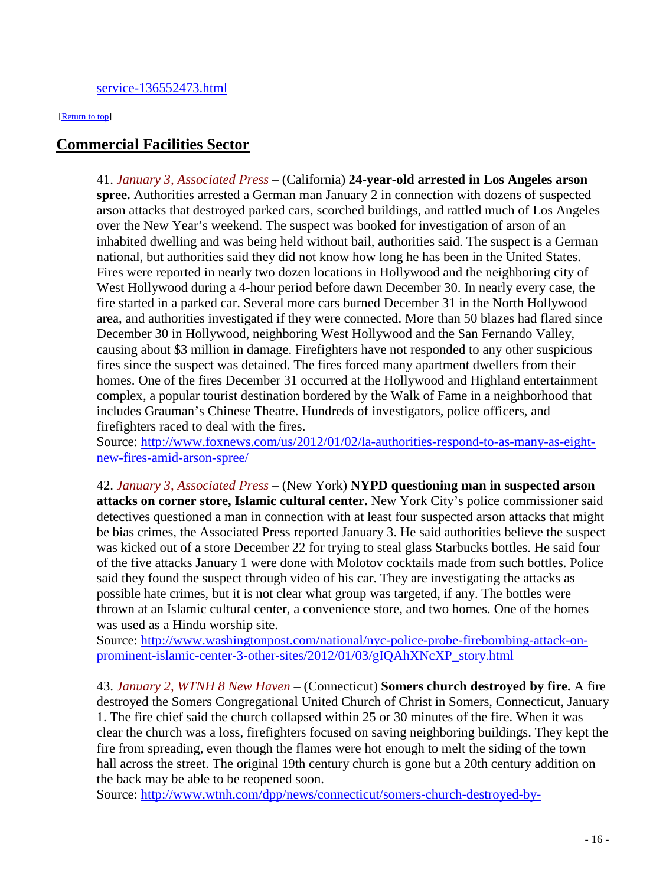#### <span id="page-15-1"></span><span id="page-15-0"></span>[\[Return to top\]](#page-0-1)

## **Commercial Facilities Sector**

41. *January 3, Associated Press* – (California) **24-year-old arrested in Los Angeles arson spree.** Authorities arrested a German man January 2 in connection with dozens of suspected arson attacks that destroyed parked cars, scorched buildings, and rattled much of Los Angeles over the New Year's weekend. The suspect was booked for investigation of arson of an inhabited dwelling and was being held without bail, authorities said. The suspect is a German national, but authorities said they did not know how long he has been in the United States. Fires were reported in nearly two dozen locations in Hollywood and the neighboring city of West Hollywood during a 4-hour period before dawn December 30. In nearly every case, the fire started in a parked car. Several more cars burned December 31 in the North Hollywood area, and authorities investigated if they were connected. More than 50 blazes had flared since December 30 in Hollywood, neighboring West Hollywood and the San Fernando Valley, causing about \$3 million in damage. Firefighters have not responded to any other suspicious fires since the suspect was detained. The fires forced many apartment dwellers from their homes. One of the fires December 31 occurred at the Hollywood and Highland entertainment complex, a popular tourist destination bordered by the Walk of Fame in a neighborhood that includes Grauman's Chinese Theatre. Hundreds of investigators, police officers, and firefighters raced to deal with the fires.

Source: [http://www.foxnews.com/us/2012/01/02/la-authorities-respond-to-as-many-as-eight](http://www.foxnews.com/us/2012/01/02/la-authorities-respond-to-as-many-as-eight-new-fires-amid-arson-spree/)[new-fires-amid-arson-spree/](http://www.foxnews.com/us/2012/01/02/la-authorities-respond-to-as-many-as-eight-new-fires-amid-arson-spree/)

42. *January 3, Associated Press* – (New York) **NYPD questioning man in suspected arson attacks on corner store, Islamic cultural center.** New York City's police commissioner said detectives questioned a man in connection with at least four suspected arson attacks that might be bias crimes, the Associated Press reported January 3. He said authorities believe the suspect was kicked out of a store December 22 for trying to steal glass Starbucks bottles. He said four of the five attacks January 1 were done with Molotov cocktails made from such bottles. Police said they found the suspect through video of his car. They are investigating the attacks as possible hate crimes, but it is not clear what group was targeted, if any. The bottles were thrown at an Islamic cultural center, a convenience store, and two homes. One of the homes was used as a Hindu worship site.

Source: [http://www.washingtonpost.com/national/nyc-police-probe-firebombing-attack-on](http://www.washingtonpost.com/national/nyc-police-probe-firebombing-attack-on-prominent-islamic-center-3-other-sites/2012/01/03/gIQAhXNcXP_story.html)[prominent-islamic-center-3-other-sites/2012/01/03/gIQAhXNcXP\\_story.html](http://www.washingtonpost.com/national/nyc-police-probe-firebombing-attack-on-prominent-islamic-center-3-other-sites/2012/01/03/gIQAhXNcXP_story.html)

43. *January 2, WTNH 8 New Haven* – (Connecticut) **Somers church destroyed by fire.** A fire destroyed the Somers Congregational United Church of Christ in Somers, Connecticut, January 1. The fire chief said the church collapsed within 25 or 30 minutes of the fire. When it was clear the church was a loss, firefighters focused on saving neighboring buildings. They kept the fire from spreading, even though the flames were hot enough to melt the siding of the town hall across the street. The original 19th century church is gone but a 20th century addition on the back may be able to be reopened soon.

Source: [http://www.wtnh.com/dpp/news/connecticut/somers-church-destroyed-by-](http://www.wtnh.com/dpp/news/connecticut/somers-church-destroyed-by-fire?hpt=us_bn4)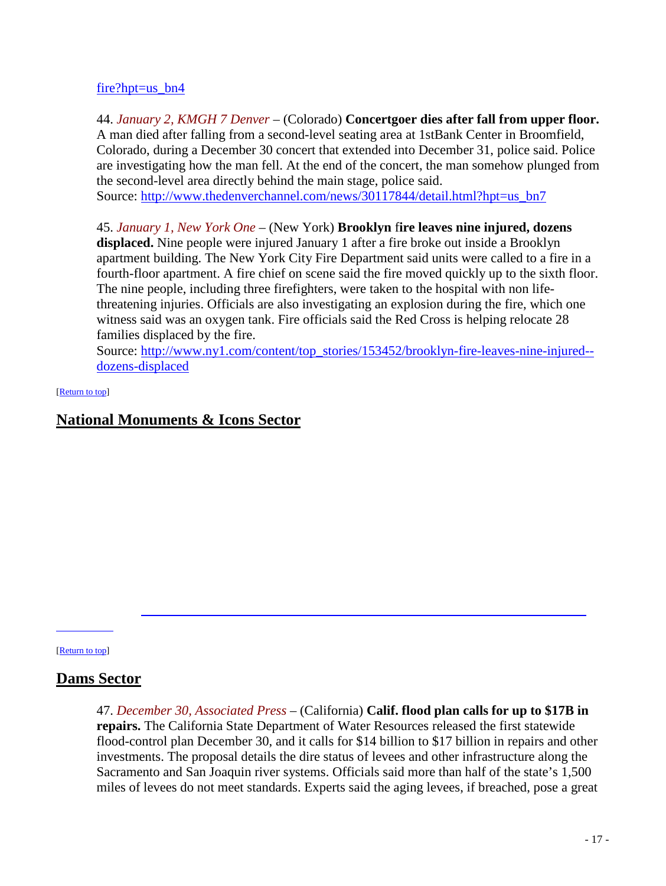#### fire?hpt=us\_bn4

44. *January 2, KMGH 7 Denver* – (Colorado) **Concertgoer dies after fall from upper floor.** A man died after falling from a second-level seating area at 1stBank Center in Broomfield, Colorado, during a December 30 concert that extended into December 31, police said. Police are investigating how the man fell. At the end of the concert, the man somehow plunged from the second-level area directly behind the main stage, police said.

Source: [http://www.thedenverchannel.com/news/30117844/detail.html?hpt=us\\_bn7](http://www.thedenverchannel.com/news/30117844/detail.html?hpt=us_bn7)

45. *January 1, New York One* – (New York) **Brooklyn** f**ire leaves nine injured, dozens displaced.** Nine people were injured January 1 after a fire broke out inside a Brooklyn apartment building. The New York City Fire Department said units were called to a fire in a fourth-floor apartment. A fire chief on scene said the fire moved quickly up to the sixth floor. The nine people, including three firefighters, were taken to the hospital with non lifethreatening injuries. Officials are also investigating an explosion during the fire, which one witness said was an oxygen tank. Fire officials said the Red Cross is helping relocate 28 families displaced by the fire.

Source: [http://www.ny1.com/content/top\\_stories/153452/brooklyn-fire-leaves-nine-injured-](http://www.ny1.com/content/top_stories/153452/brooklyn-fire-leaves-nine-injured--dozens-displaced) [dozens-displaced](http://www.ny1.com/content/top_stories/153452/brooklyn-fire-leaves-nine-injured--dozens-displaced)

#### <span id="page-16-1"></span>[\[Return to top\]](#page-0-1)

## **National Monuments & Icons Sector**

<span id="page-16-0"></span>[\[Return to top\]](#page-0-1) 

1.3424<br>1.3424 1.3424 1.3424 1.3424 1.3424 1.3424 1.3424 1.3424 1.3424 1.3424 1.3424 1.3424 1.3424 1.3424 1.3424 1.34

## **Dams Sector**

47. *December 30, Associated Press* – (California) **Calif. flood plan calls for up to \$17B in repairs.** The California State Department of Water Resources released the first statewide flood-control plan December 30, and it calls for \$14 billion to \$17 billion in repairs and other investments. The proposal details the dire status of levees and other infrastructure along the Sacramento and San Joaquin river systems. Officials said more than half of the state's 1,500 miles of levees do not meet standards. Experts said the aging levees, if breached, pose a great

Source: [http://www.newsday.com/news/mount-rainier-park-remains-closed-after-shooting-](http://www.newsday.com/news/mount-rainier-park-remains-closed-after-shooting-1.3424983)